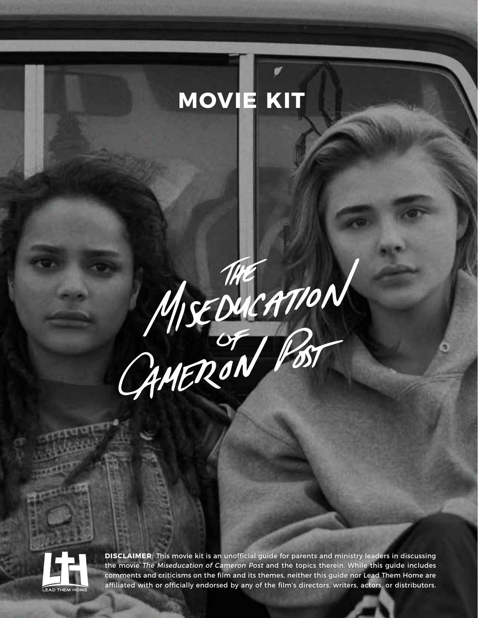# **MOVIE KIT**

MISEDUCATION



**DISCLAIMER:** This movie kit is an unofficial guide for parents and ministry leaders in discussing the movie The Miseducation of Cameron Post and the topics therein. While this guide includes comments and criticisms on the film and its themes, neither this guide nor Lead Them Home are affiliated with or officially endorsed by any of the film's directors, writers, actors, or distributors.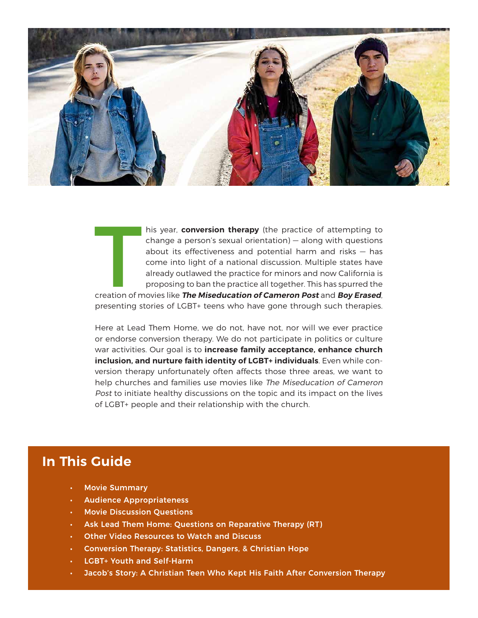

**THE SERVE SERVER SERVER SERVER SERVER**<br>The Server Server Server Server Server Server Server Server Server Server Server Server Server Server Server S<br>The Server Server Server Server Server Server Server Server Server Serv his year, **conversion therapy** (the practice of attempting to change a person's sexual orientation) — along with questions about its effectiveness and potential harm and risks  $-$  has come into light of a national discussion. Multiple states have already outlawed the practice for minors and now California is proposing to ban the practice all together. This has spurred the

creation of movies like **The Miseducation of Cameron Post** and **Boy Erased**, presenting stories of LGBT+ teens who have gone through such therapies.

Here at Lead Them Home, we do not, have not, nor will we ever practice or endorse conversion therapy. We do not participate in politics or culture war activities. Our goal is to **increase family acceptance, enhance church inclusion, and nurture faith identity of LGBT+ individuals**. Even while conversion therapy unfortunately often affects those three areas, we want to help churches and families use movies like The Miseducation of Cameron Post to initiate healthy discussions on the topic and its impact on the lives of LGBT+ people and their relationship with the church.

### **In This Guide**

- Movie Summary
- Audience Appropriateness
- Movie Discussion Questions
- Ask Lead Them Home: Questions on Reparative Therapy (RT)
- Other Video Resources to Watch and Discuss
- Conversion Therapy: Statistics, Dangers, & Christian Hope
- LGBT+ Youth and Self-Harm
- Jacob's Story: A Christian Teen Who Kept His Faith After Conversion Therapy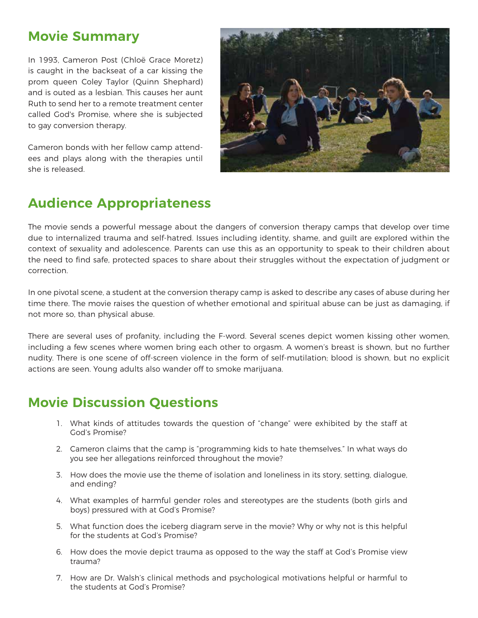## **Movie Summary**

In 1993, Cameron Post (Chloë Grace Moretz) is caught in the backseat of a car kissing the prom queen Coley Taylor (Quinn Shephard) and is outed as a lesbian. This causes her aunt Ruth to send her to a remote treatment center called God's Promise, where she is subjected to gay conversion therapy.

Cameron bonds with her fellow camp attendees and plays along with the therapies until she is released.



# **Audience Appropriateness**

The movie sends a powerful message about the dangers of conversion therapy camps that develop over time due to internalized trauma and self-hatred. Issues including identity, shame, and guilt are explored within the context of sexuality and adolescence. Parents can use this as an opportunity to speak to their children about the need to find safe, protected spaces to share about their struggles without the expectation of judgment or correction.

In one pivotal scene, a student at the conversion therapy camp is asked to describe any cases of abuse during her time there. The movie raises the question of whether emotional and spiritual abuse can be just as damaging, if not more so, than physical abuse.

There are several uses of profanity, including the F-word. Several scenes depict women kissing other women, including a few scenes where women bring each other to orgasm. A women's breast is shown, but no further nudity. There is one scene of off-screen violence in the form of self-mutilation; blood is shown, but no explicit actions are seen. Young adults also wander off to smoke marijuana.

# **Movie Discussion Questions**

- 1. What kinds of attitudes towards the question of "change" were exhibited by the staff at God's Promise?
- 2. Cameron claims that the camp is "programming kids to hate themselves." In what ways do you see her allegations reinforced throughout the movie?
- 3. How does the movie use the theme of isolation and loneliness in its story, setting, dialogue, and ending?
- 4. What examples of harmful gender roles and stereotypes are the students (both girls and boys) pressured with at God's Promise?
- 5. What function does the iceberg diagram serve in the movie? Why or why not is this helpful for the students at God's Promise?
- 6. How does the movie depict trauma as opposed to the way the staff at God's Promise view trauma?
- 7. How are Dr. Walsh's clinical methods and psychological motivations helpful or harmful to the students at God's Promise?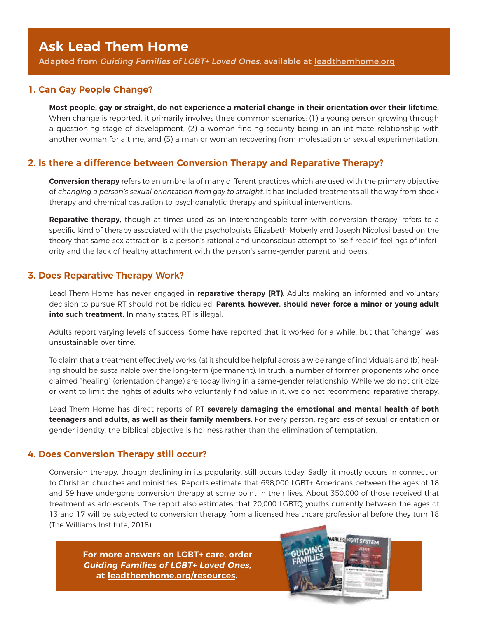## **Ask Lead Them Home**

Adapted from Guiding Families of LGBT+ Loved Ones, available at [leadthemhome.org](https://www.leadthemhome.org/get-resources/guiding-families-second-edition?utm_source=movie-kit&utm_campaign=cameron-post)

#### **1. Can Gay People Change?**

**Most people, gay or straight, do not experience a material change in their orientation over their lifetime.**  When change is reported, it primarily involves three common scenarios: (1) a young person growing through a questioning stage of development, (2) a woman finding security being in an intimate relationship with another woman for a time, and (3) a man or woman recovering from molestation or sexual experimentation.

#### **2. Is there a difference between Conversion Therapy and Reparative Therapy?**

**Conversion therapy** refers to an umbrella of many different practices which are used with the primary objective of changing a person's sexual orientation from gay to straight. It has included treatments all the way from shock therapy and chemical castration to psychoanalytic therapy and spiritual interventions.

**Reparative therapy,** though at times used as an interchangeable term with conversion therapy, refers to a specific kind of therapy associated with the psychologists Elizabeth Moberly and Joseph Nicolosi based on the theory that same-sex attraction is a person's rational and unconscious attempt to "self-repair" feelings of inferiority and the lack of healthy attachment with the person's same-gender parent and peers.

#### **3. Does Reparative Therapy Work?**

Lead Them Home has never engaged in **reparative therapy (RT)**. Adults making an informed and voluntary decision to pursue RT should not be ridiculed. **Parents, however, should never force a minor or young adult into such treatment.** In many states, RT is illegal.

Adults report varying levels of success. Some have reported that it worked for a while, but that "change" was unsustainable over time.

To claim that a treatment effectively works, (a) it should be helpful across a wide range of individuals and (b) healing should be sustainable over the long-term (permanent). In truth, a number of former proponents who once claimed "healing" (orientation change) are today living in a same-gender relationship. While we do not criticize or want to limit the rights of adults who voluntarily find value in it, we do not recommend reparative therapy.

Lead Them Home has direct reports of RT **severely damaging the emotional and mental health of both teenagers and adults, as well as their family members.** For every person, regardless of sexual orientation or gender identity, the biblical objective is holiness rather than the elimination of temptation.

#### **4. Does Conversion Therapy still occur?**

Conversion therapy, though declining in its popularity, still occurs today. Sadly, it mostly occurs in connection to Christian churches and ministries. Reports estimate that 698,000 LGBT+ Americans between the ages of 18 and 59 have undergone conversion therapy at some point in their lives. About 350,000 of those received that treatment as adolescents. The report also estimates that 20,000 LGBTQ youths currently between the ages of 13 and 17 will be subjected to conversion therapy from a licensed healthcare professional before they turn 18 (The Williams Institute, 2018).

**For more answers on LGBT+ care, order Guiding Families of LGBT+ Loved Ones, at [leadthemhome.org/](https://www.leadthemhome.org/get-resources/guiding-families-second-edition?utm_source=movie-kit&utm_campaign=cameron-post)resources.**

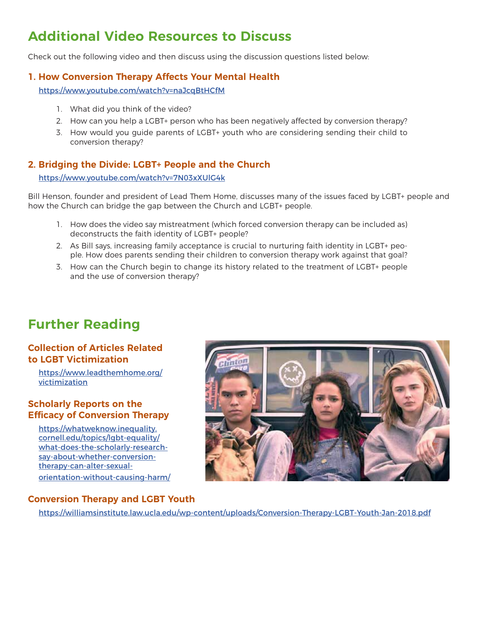# **Additional Video Resources to Discuss**

Check out the following video and then discuss using the discussion questions listed below:

#### **1. How Conversion Therapy Affects Your Mental Health**

<https://www.youtube.com/watch?v=naJcqBtHCfM>

- 1. What did you think of the video?
- 2. How can you help a LGBT+ person who has been negatively affected by conversion therapy?
- 3. How would you guide parents of LGBT+ youth who are considering sending their child to conversion therapy?

#### **2. Bridging the Divide: LGBT+ People and the Church**

#### <https://www.youtube.com/watch?v=7N03xXUlG4k>

Bill Henson, founder and president of Lead Them Home, discusses many of the issues faced by LGBT+ people and how the Church can bridge the gap between the Church and LGBT+ people.

- 1. How does the video say mistreatment (which forced conversion therapy can be included as) deconstructs the faith identity of LGBT+ people?
- 2. As Bill says, increasing family acceptance is crucial to nurturing faith identity in LGBT+ people. How does parents sending their children to conversion therapy work against that goal?
- 3. How can the Church begin to change its history related to the treatment of LGBT+ people and the use of conversion therapy?

# **Further Reading**

#### **Collection of Articles Related to LGBT Victimization**

[https://www.leadthemhome.org/](https://www.leadthemhome.org/victimization?utm_source=movie-kit&utm_campaign=cameron-post) [victimization](https://www.leadthemhome.org/victimization?utm_source=movie-kit&utm_campaign=cameron-post)

#### **Scholarly Reports on the Efficacy of Conversion Therapy**

[https://whatweknow.inequality.](https://whatweknow.inequality.cornell.edu/topics/lgbt-equality/what-does-the-scholarly-research-say-about-whether-conversion-therapy-can-alter-sexual-orientation-without-causing-harm/) [cornell.edu/topics/lgbt-equality/](https://whatweknow.inequality.cornell.edu/topics/lgbt-equality/what-does-the-scholarly-research-say-about-whether-conversion-therapy-can-alter-sexual-orientation-without-causing-harm/) [what-does-the-scholarly-research](https://whatweknow.inequality.cornell.edu/topics/lgbt-equality/what-does-the-scholarly-research-say-about-whether-conversion-therapy-can-alter-sexual-orientation-without-causing-harm/)[say-about-whether-conversion](https://whatweknow.inequality.cornell.edu/topics/lgbt-equality/what-does-the-scholarly-research-say-about-whether-conversion-therapy-can-alter-sexual-orientation-without-causing-harm/)[therapy-can-alter-sexual](https://whatweknow.inequality.cornell.edu/topics/lgbt-equality/what-does-the-scholarly-research-say-about-whether-conversion-therapy-can-alter-sexual-orientation-without-causing-harm/)[orientation-without-causing-harm/](https://whatweknow.inequality.cornell.edu/topics/lgbt-equality/what-does-the-scholarly-research-say-about-whether-conversion-therapy-can-alter-sexual-orientation-without-causing-harm/)



#### **Conversion Therapy and LGBT Youth**

[https://williamsinstitute.law.ucla.edu/wp-content/uploads/Conversion-Therapy-LGBT-Youth-Jan-2018.pdf](https://williamsinstitute.law.ucla.edu/wp-content/uploads/Conversion-Therapy-LGBT-Youth-Jan-2018.pdf
)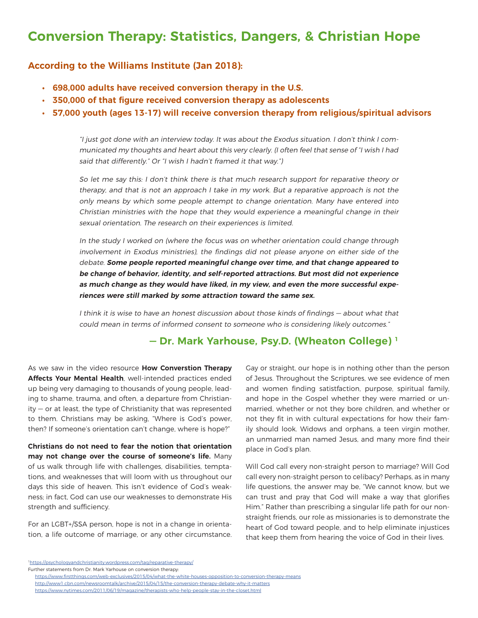## **Conversion Therapy: Statistics, Dangers, & Christian Hope**

#### **According to the Williams Institute (Jan 2018):**

- **• 698,000 adults have received conversion therapy in the U.S.**
- **• 350,000 of that figure received conversion therapy as adolescents**
- **• 57,000 youth (ages 13-17) will receive conversion therapy from religious/spiritual advisors**

"I just got done with an interview today. It was about the Exodus situation. I don't think I communicated my thoughts and heart about this very clearly. (I often feel that sense of "I wish I had said that differently." Or "I wish I hadn't framed it that way.")

So let me say this: I don't think there is that much research support for reparative theory or therapy, and that is not an approach I take in my work. But a reparative approach is not the only means by which some people attempt to change orientation. Many have entered into Christian ministries with the hope that they would experience a meaningful change in their sexual orientation. The research on their experiences is limited.

In the study I worked on (where the focus was on whether orientation could change through involvement in Exodus ministries), the findings did not please anyone on either side of the debate. **Some people reported meaningful change over time, and that change appeared to be change of behavior, identity, and self-reported attractions. But most did not experience as much change as they would have liked, in my view, and even the more successful experiences were still marked by some attraction toward the same sex.** 

I think it is wise to have an honest discussion about those kinds of findings — about what that could mean in terms of informed consent to someone who is considering likely outcomes."

#### **— Dr. Mark Yarhouse, Psy.D. (Wheaton College) 1**

As we saw in the video resource **How Converstion Therapy Affects Your Mental Health**, well-intended practices ended up being very damaging to thousands of young people, leading to shame, trauma, and often, a departure from Christianity — or at least, the type of Christianity that was represented to them. Christians may be asking, "Where is God's power, then? If someone's orientation can't change, where is hope?"

**Christians do not need to fear the notion that orientation may not change over the course of someone's life.** Many of us walk through life with challenges, disabilities, temptations, and weaknesses that will loom with us throughout our days this side of heaven. This isn't evidence of God's weakness; in fact, God can use our weaknesses to demonstrate His strength and sufficiency.

For an LGBT+/SSA person, hope is not in a change in orientation, a life outcome of marriage, or any other circumstance. Gay or straight, our hope is in nothing other than the person of Jesus. Throughout the Scriptures, we see evidence of men and women finding satistfaction, purpose, spiritual family, and hope in the Gospel whether they were married or unmarried, whether or not they bore children, and whether or not they fit in with cultural expectations for how their family should look. Widows and orphans, a teen virgin mother, an unmarried man named Jesus, and many more find their place in God's plan.

Will God call every non-straight person to marriage? Will God call every non-straight person to celibacy? Perhaps, as in many life questions, the answer may be, "We cannot know, but we can trust and pray that God will make a way that glorifies Him." Rather than prescribing a singular life path for our nonstraight friends, our role as missionaries is to demonstrate the heart of God toward people, and to help eliminate injustices that keep them from hearing the voice of God in their lives.

[1https://psychologyandchristianity.wordpress.com/tag/reparative-therapy/](https://psychologyandchristianity.wordpress.com/tag/reparative-therapy/)

Further statements from Dr. Mark Yarhouse on conversion therapy:

<https://www.firstthings.com/web-exclusives/2015/04/what-the-white-houses-opposition-to-conversion-therapy-means> <http://www1.cbn.com/newsroomtalk/archive/2015/04/15/the-conversion-therapy-debate-why-it-matters> <https://www.nytimes.com/2011/06/19/magazine/therapists-who-help-people-stay-in-the-closet.html>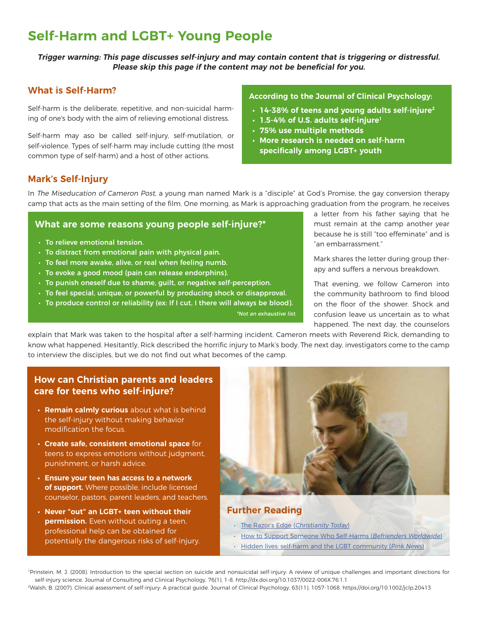# **Self-Harm and LGBT+ Young People**

**Trigger warning: This page discusses self-injury and may contain content that is triggering or distressful. Please skip this page if the content may not be beneficial for you.**

#### **What is Self-Harm?**

Self-harm is the deliberate, repetitive, and non-suicidal harming of one's body with the aim of relieving emotional distress.

Self-harm may aso be called self-injury, self-mutilation, or self-violence. Types of self-harm may include cutting (the most common type of self-harm) and a host of other actions.

#### **According to the Journal of Clinical Psychology:**

- **• 14-38% of teens and young adults self-injure2**
- **• 1.5-4% of U.S. adults self-injure1**
- **• 75% use multiple methods**
- **• More research is needed on self-harm specifically among LGBT+ youth**

#### **Mark's Self-Injury**

In The Miseducation of Cameron Post, a young man named Mark is a "disciple" at God's Promise, the gay conversion therapy camp that acts as the main setting of the film. One morning, as Mark is approaching graduation from the program, he receives

#### **What are some reasons young people self-injure?\***

- To relieve emotional tension.
- To distract from emotional pain with physical pain.
- To feel more awake, alive, or real when feeling numb.
- To evoke a good mood (pain can release endorphins).
- To punish oneself due to shame, guilt, or negative self-perception.
- To feel special, unique, or powerful by producing shock or disapproval.
- To produce control or reliability (ex: If I cut, I there will always be blood).
- \*Not an exhaustive list.

a letter from his father saying that he must remain at the camp another year because he is still "too effeminate" and is "an embarrassment."

Mark shares the letter during group therapy and suffers a nervous breakdown.

That evening, we follow Cameron into the community bathroom to find blood on the floor of the shower. Shock and confusion leave us uncertain as to what happened. The next day, the counselors

explain that Mark was taken to the hospital after a self-harming incident. Cameron meets with Reverend Rick, demanding to know what happened. Hesitantly, Rick described the horrific injury to Mark's body. The next day, investigators come to the camp to interview the disciples, but we do not find out what becomes of the camp.

#### **How can Christian parents and leaders care for teens who self-injure?**

- **• Remain calmly curious** about what is behind the self-injury without making behavior modification the focus.
- **• Create safe, consistent emotional space** for teens to express emotions without judgment, punishment, or harsh advice.
- **• Ensure your teen has access to a network of support.** Where possible, include licensed counselor, pastors, parent leaders, and teachers.
- **• Never "out" an LGBT+ teen without their permission.** Even without outing a teen, professional help can be obtained for potentially the dangerous risks of self-injury.



#### **Further Reading**

- [The Razor's Edge \(](https://www.todayschristianwoman.com/articles/2004/december/9.34.html)Christianity Today)
- [How to Support Someone Who Self-Harms \(](https://www.befrienders.org/how-to-support-someone-who-self-harms)Befrienders Worldwide)
- [Hidden lives: self-harm and the LGBT community](https://www.pinknews.co.uk/2008/03/10/hidden-lives-self-harm-and-the-lgbt-community/) (Pink News)

<sup>1</sup>Prinstein, M. J. (2008). Introduction to the special section on suicide and nonsuicidal self-injury: A review of unique challenges and important directions for self-injury science. Journal of Consulting and Clinical Psychology, 76(1), 1-8. http://dx.doi.org/10.1037/0022-006X.76.1.1 2Walsh, B. (2007). Clinical assessment of self‐injury: A practical guide. Journal of Clinical Psychology, 63(11), 1057-1068. https://doi.org/10.1002/jclp.20413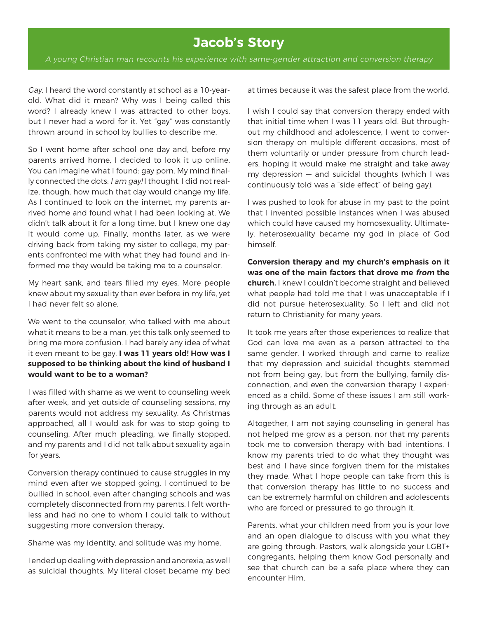## **Jacob's Story**

A young Christian man recounts his experience with same-gender attraction and conversion therapy

Gay. I heard the word constantly at school as a 10-yearold. What did it mean? Why was I being called this word? I already knew I was attracted to other boys, but I never had a word for it. Yet "gay" was constantly thrown around in school by bullies to describe me.

So I went home after school one day and, before my parents arrived home, I decided to look it up online. You can imagine what I found: gay porn. My mind finally connected the dots: I am gay! I thought. I did not realize, though, how much that day would change my life. As I continued to look on the internet, my parents arrived home and found what I had been looking at. We didn't talk about it for a long time, but I knew one day it would come up. Finally, months later, as we were driving back from taking my sister to college, my parents confronted me with what they had found and informed me they would be taking me to a counselor.

My heart sank, and tears filled my eyes. More people knew about my sexuality than ever before in my life, yet I had never felt so alone.

We went to the counselor, who talked with me about what it means to be a man, yet this talk only seemed to bring me more confusion. I had barely any idea of what it even meant to be gay. **I was 11 years old! How was I supposed to be thinking about the kind of husband I would want to be to a woman?** 

I was filled with shame as we went to counseling week after week, and yet outside of counseling sessions, my parents would not address my sexuality. As Christmas approached, all I would ask for was to stop going to counseling. After much pleading, we finally stopped, and my parents and I did not talk about sexuality again for years.

Conversion therapy continued to cause struggles in my mind even after we stopped going. I continued to be bullied in school, even after changing schools and was completely disconnected from my parents. I felt worthless and had no one to whom I could talk to without suggesting more conversion therapy.

Shame was my identity, and solitude was my home.

I ended up dealing with depression and anorexia, as well as suicidal thoughts. My literal closet became my bed at times because it was the safest place from the world.

I wish I could say that conversion therapy ended with that initial time when I was 11 years old. But throughout my childhood and adolescence, I went to conversion therapy on multiple different occasions, most of them voluntarily or under pressure from church leaders, hoping it would make me straight and take away my depression — and suicidal thoughts (which I was continuously told was a "side effect" of being gay).

I was pushed to look for abuse in my past to the point that I invented possible instances when I was abused which could have caused my homosexuality. Ultimately, heterosexuality became my god in place of God himself.

**Conversion therapy and my church's emphasis on it was one of the main factors that drove me from the church.** I knew I couldn't become straight and believed what people had told me that I was unacceptable if I did not pursue heterosexuality. So I left and did not return to Christianity for many years.

It took me years after those experiences to realize that God can love me even as a person attracted to the same gender. I worked through and came to realize that my depression and suicidal thoughts stemmed not from being gay, but from the bullying, family disconnection, and even the conversion therapy I experienced as a child. Some of these issues I am still working through as an adult.

Altogether, I am not saying counseling in general has not helped me grow as a person, nor that my parents took me to conversion therapy with bad intentions. I know my parents tried to do what they thought was best and I have since forgiven them for the mistakes they made. What I hope people can take from this is that conversion therapy has little to no success and can be extremely harmful on children and adolescents who are forced or pressured to go through it.

Parents, what your children need from you is your love and an open dialogue to discuss with you what they are going through. Pastors, walk alongside your LGBT+ congregants, helping them know God personally and see that church can be a safe place where they can encounter Him.